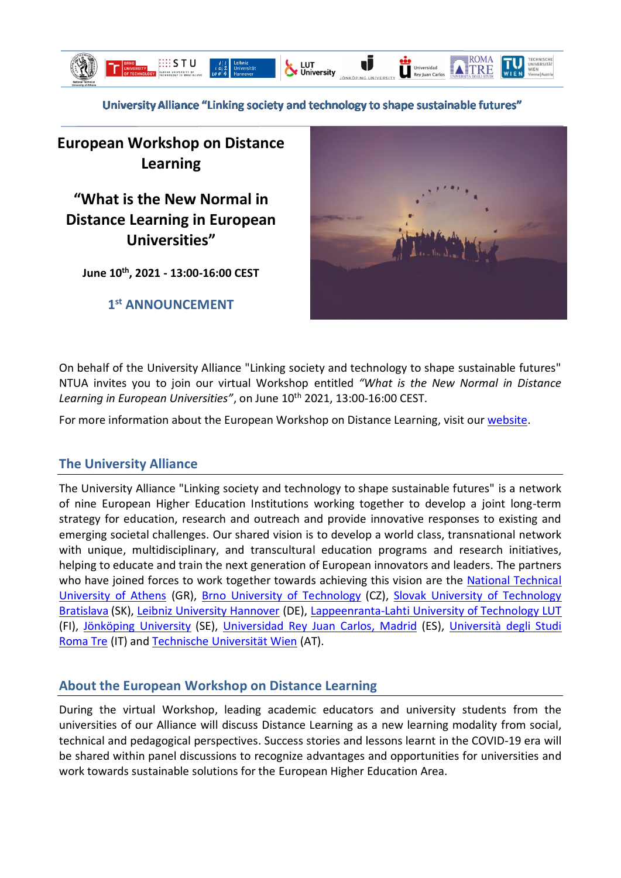

University Alliance "Linking society and technology to shape sustainable futures"

# **European Workshop on Distance Learning**

**"What is the New Normal in Distance Learning in European Universities"**

**June 10th, 2021 - 13:00-16:00 CEST**

**1 st ANNOUNCEMENT**



On behalf of the University Alliance "Linking society and technology to shape sustainable futures" NTUA invites you to join our virtual Workshop entitled *"What is the New Normal in Distance*  Learning in European Universities", on June 10<sup>th</sup> 2021, 13:00-16:00 CEST.

For more information about the European Workshop on Distance Learning, visit our [website.](http://dlworkshop.ntua.gr/)

## **The University Alliance**

The University Alliance "Linking society and technology to shape sustainable futures" is a network of nine European Higher Education Institutions working together to develop a joint long-term strategy for education, research and outreach and provide innovative responses to existing and emerging societal challenges. Our shared vision is to develop a world class, transnational network with unique, multidisciplinary, and transcultural education programs and research initiatives, helping to educate and train the next generation of European innovators and leaders. The partners who have joined forces to work together towards achieving this vision are the National Technical [University of Athens](https://www.ntua.gr/en/) (GR), [Brno University of Technology](https://www.vutbr.cz/en/) (CZ), [Slovak University of Technology](https://www.stuba.sk/english.html?page_id=132)  [Bratislava](https://www.stuba.sk/english.html?page_id=132) (SK), [Leibniz University Hannover](https://www.uni-hannover.de/en/) (DE), [Lappeenranta-Lahti University of Technology LUT](https://www.lut.fi/web/en) (FI), [Jönköping University](https://ju.se/en) (SE), [Universidad Rey Juan Carlos,](https://www.urjc.es/) Madrid (ES), [Università](https://www.uniroma3.it/) degli Studi [Roma Tre](https://www.uniroma3.it/) (IT) and Technische [Universität Wien](https://www.tuwien.at/en/) (AT).

## **About the European Workshop on Distance Learning**

During the virtual Workshop, leading academic educators and university students from the universities of our Alliance will discuss Distance Learning as a new learning modality from social, technical and pedagogical perspectives. Success stories and lessons learnt in the COVID-19 era will be shared within panel discussions to recognize advantages and opportunities for universities and work towards sustainable solutions for the European Higher Education Area.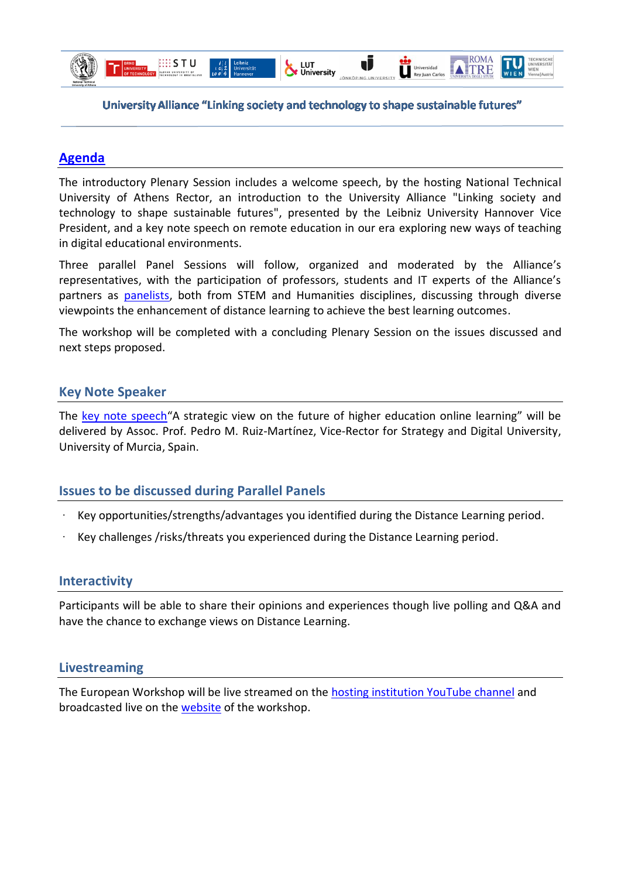

#### University Alliance "Linking society and technology to shape sustainable futures"

LUT<br>V University

J

Universidad<br>Rey Juan Carlos

ROMA

TRE

#### **[Agenda](http://dlworkshop.ntua.gr/agenda.html)**

The introductory Plenary Session includes a welcome speech, by the hosting National Technical University of Athens Rector, an introduction to the University Alliance "Linking society and technology to shape sustainable futures", presented by the Leibniz University Hannover Vice President, and a key note speech on remote education in our era exploring new ways of teaching in digital educational environments.

Three parallel Panel Sessions will follow, organized and moderated by the Alliance's representatives, with the participation of professors, students and IT experts of the Alliance's partners as [panelists,](http://dlworkshop.ntua.gr/speakers.html) both from STEM and Humanities disciplines, discussing through diverse viewpoints the enhancement of distance learning to achieve the best learning outcomes.

The workshop will be completed with a concluding Plenary Session on the issues discussed and next steps proposed.

#### **Key Note Speaker**

The [key note speech](http://dlworkshop.ntua.gr/speakers.html)"A strategic view on the future of higher education online learning" will be delivered by Assoc. Prof. Pedro M. Ruiz-Martínez, Vice-Rector for Strategy and Digital University, University of Murcia, Spain.

#### **Issues to be discussed during Parallel Panels**

- · Key opportunities/strengths/advantages you identified during the Distance Learning period.
- · Key challenges /risks/threats you experienced during the Distance Learning period.

#### **Interactivity**

Participants will be able to share their opinions and experiences though live polling and Q&A and have the chance to exchange views on Distance Learning.

#### **Livestreaming**

The European Workshop will be live streamed on the [hosting institution YouTube channel](https://www.youtube.com/NTUAofficial) and broadcasted live on the [website](http://dlworkshop.ntua.gr/) of the workshop.